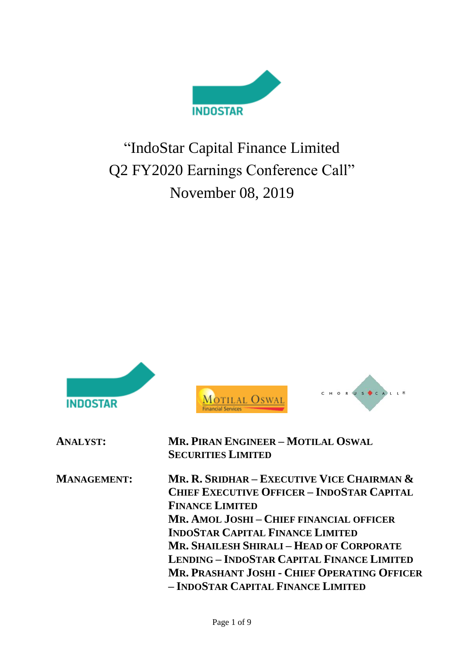

# "IndoStar Capital Finance Limited Q2 FY2020 Earnings Conference Call" November 08, 2019

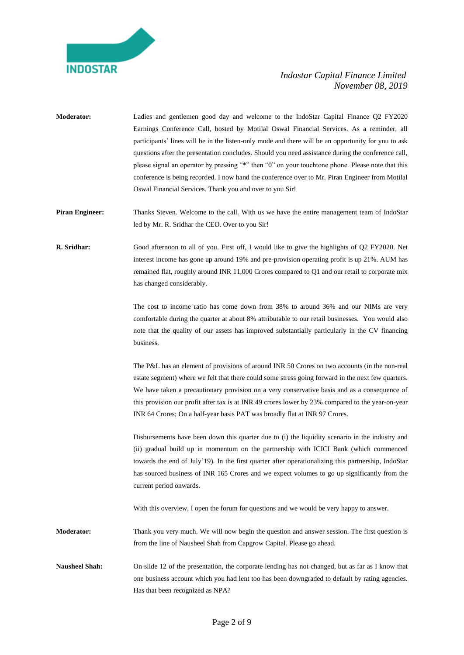

**Moderator:** Ladies and gentlemen good day and welcome to the IndoStar Capital Finance Q2 FY2020 Earnings Conference Call, hosted by Motilal Oswal Financial Services. As a reminder, all participants' lines will be in the listen-only mode and there will be an opportunity for you to ask questions after the presentation concludes. Should you need assistance during the conference call, please signal an operator by pressing "\*" then "0" on your touchtone phone. Please note that this conference is being recorded. I now hand the conference over to Mr. Piran Engineer from Motilal Oswal Financial Services. Thank you and over to you Sir!

**Piran Engineer:** Thanks Steven. Welcome to the call. With us we have the entire management team of IndoStar led by Mr. R. Sridhar the CEO. Over to you Sir!

**R. Sridhar:** Good afternoon to all of you. First off, I would like to give the highlights of Q2 FY2020. Net interest income has gone up around 19% and pre-provision operating profit is up 21%. AUM has remained flat, roughly around INR 11,000 Crores compared to Q1 and our retail to corporate mix has changed considerably.

> The cost to income ratio has come down from 38% to around 36% and our NIMs are very comfortable during the quarter at about 8% attributable to our retail businesses. You would also note that the quality of our assets has improved substantially particularly in the CV financing business.

> The P&L has an element of provisions of around INR 50 Crores on two accounts (in the non-real estate segment) where we felt that there could some stress going forward in the next few quarters. We have taken a precautionary provision on a very conservative basis and as a consequence of this provision our profit after tax is at INR 49 crores lower by 23% compared to the year-on-year INR 64 Crores; On a half-year basis PAT was broadly flat at INR 97 Crores.

> Disbursements have been down this quarter due to (i) the liquidity scenario in the industry and (ii) gradual build up in momentum on the partnership with ICICI Bank (which commenced towards the end of July'19). In the first quarter after operationalizing this partnership, IndoStar has sourced business of INR 165 Crores and we expect volumes to go up significantly from the current period onwards.

With this overview, I open the forum for questions and we would be very happy to answer.

**Moderator:** Thank you very much. We will now begin the question and answer session. The first question is from the line of Nausheel Shah from Capgrow Capital. Please go ahead.

**Nausheel Shah:** On slide 12 of the presentation, the corporate lending has not changed, but as far as I know that one business account which you had lent too has been downgraded to default by rating agencies. Has that been recognized as NPA?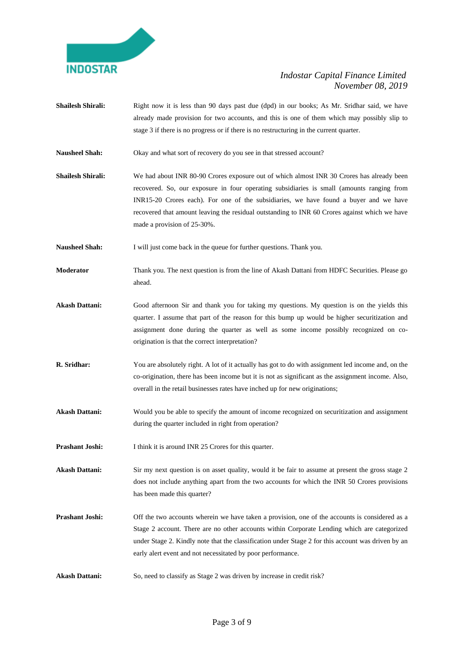

- **Shailesh Shirali:** Right now it is less than 90 days past due (dpd) in our books; As Mr. Sridhar said, we have already made provision for two accounts, and this is one of them which may possibly slip to stage 3 if there is no progress or if there is no restructuring in the current quarter.
- **Nausheel Shah:** Okay and what sort of recovery do you see in that stressed account?
- **Shailesh Shirali:** We had about INR 80-90 Crores exposure out of which almost INR 30 Crores has already been recovered. So, our exposure in four operating subsidiaries is small (amounts ranging from INR15-20 Crores each). For one of the subsidiaries, we have found a buyer and we have recovered that amount leaving the residual outstanding to INR 60 Crores against which we have made a provision of 25-30%.

Nausheel Shah: I will just come back in the queue for further questions. Thank you.

**Moderator** Thank you. The next question is from the line of Akash Dattani from HDFC Securities. Please go ahead.

- **Akash Dattani:** Good afternoon Sir and thank you for taking my questions. My question is on the yields this quarter. I assume that part of the reason for this bump up would be higher securitization and assignment done during the quarter as well as some income possibly recognized on coorigination is that the correct interpretation?
- **R. Sridhar:** You are absolutely right. A lot of it actually has got to do with assignment led income and, on the co-origination, there has been income but it is not as significant as the assignment income. Also, overall in the retail businesses rates have inched up for new originations;
- **Akash Dattani:** Would you be able to specify the amount of income recognized on securitization and assignment during the quarter included in right from operation?

**Prashant Joshi:** I think it is around INR 25 Crores for this quarter.

**Akash Dattani:** Sir my next question is on asset quality, would it be fair to assume at present the gross stage 2 does not include anything apart from the two accounts for which the INR 50 Crores provisions has been made this quarter?

- **Prashant Joshi:** Off the two accounts wherein we have taken a provision, one of the accounts is considered as a Stage 2 account. There are no other accounts within Corporate Lending which are categorized under Stage 2. Kindly note that the classification under Stage 2 for this account was driven by an early alert event and not necessitated by poor performance.
- Akash Dattani: So, need to classify as Stage 2 was driven by increase in credit risk?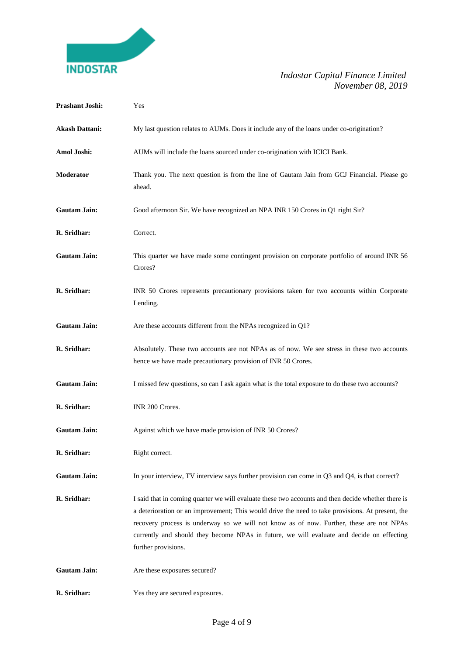

| <b>Prashant Joshi:</b> | Yes                                                                                                                                                                                                                                                                                                                                                                                                                   |
|------------------------|-----------------------------------------------------------------------------------------------------------------------------------------------------------------------------------------------------------------------------------------------------------------------------------------------------------------------------------------------------------------------------------------------------------------------|
| <b>Akash Dattani:</b>  | My last question relates to AUMs. Does it include any of the loans under co-origination?                                                                                                                                                                                                                                                                                                                              |
| Amol Joshi:            | AUMs will include the loans sourced under co-origination with ICICI Bank.                                                                                                                                                                                                                                                                                                                                             |
| Moderator              | Thank you. The next question is from the line of Gautam Jain from GCJ Financial. Please go<br>ahead.                                                                                                                                                                                                                                                                                                                  |
| <b>Gautam Jain:</b>    | Good afternoon Sir. We have recognized an NPA INR 150 Crores in Q1 right Sir?                                                                                                                                                                                                                                                                                                                                         |
| R. Sridhar:            | Correct.                                                                                                                                                                                                                                                                                                                                                                                                              |
| <b>Gautam Jain:</b>    | This quarter we have made some contingent provision on corporate portfolio of around INR 56<br>Crores?                                                                                                                                                                                                                                                                                                                |
| R. Sridhar:            | INR 50 Crores represents precautionary provisions taken for two accounts within Corporate<br>Lending.                                                                                                                                                                                                                                                                                                                 |
| <b>Gautam Jain:</b>    | Are these accounts different from the NPAs recognized in Q1?                                                                                                                                                                                                                                                                                                                                                          |
| R. Sridhar:            | Absolutely. These two accounts are not NPAs as of now. We see stress in these two accounts<br>hence we have made precautionary provision of INR 50 Crores.                                                                                                                                                                                                                                                            |
| <b>Gautam Jain:</b>    | I missed few questions, so can I ask again what is the total exposure to do these two accounts?                                                                                                                                                                                                                                                                                                                       |
| R. Sridhar:            | INR 200 Crores.                                                                                                                                                                                                                                                                                                                                                                                                       |
| <b>Gautam Jain:</b>    | Against which we have made provision of INR 50 Crores?                                                                                                                                                                                                                                                                                                                                                                |
| R. Sridhar:            | Right correct.                                                                                                                                                                                                                                                                                                                                                                                                        |
| <b>Gautam Jain:</b>    | In your interview, TV interview says further provision can come in Q3 and Q4, is that correct?                                                                                                                                                                                                                                                                                                                        |
| R. Sridhar:            | I said that in coming quarter we will evaluate these two accounts and then decide whether there is<br>a deterioration or an improvement; This would drive the need to take provisions. At present, the<br>recovery process is underway so we will not know as of now. Further, these are not NPAs<br>currently and should they become NPAs in future, we will evaluate and decide on effecting<br>further provisions. |
| <b>Gautam Jain:</b>    | Are these exposures secured?                                                                                                                                                                                                                                                                                                                                                                                          |
| R. Sridhar:            | Yes they are secured exposures.                                                                                                                                                                                                                                                                                                                                                                                       |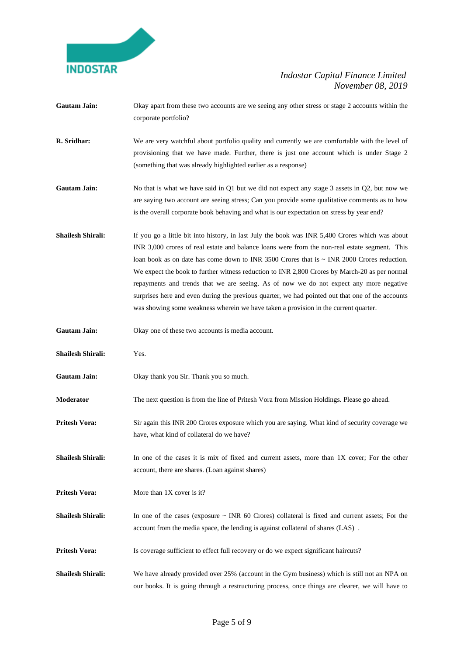

- Gautam Jain: Okay apart from these two accounts are we seeing any other stress or stage 2 accounts within the corporate portfolio?
- **R. Sridhar:** We are very watchful about portfolio quality and currently we are comfortable with the level of provisioning that we have made. Further, there is just one account which is under Stage 2 (something that was already highlighted earlier as a response)
- **Gautam Jain:** No that is what we have said in Q1 but we did not expect any stage 3 assets in Q2, but now we are saying two account are seeing stress; Can you provide some qualitative comments as to how is the overall corporate book behaving and what is our expectation on stress by year end?
- **Shailesh Shirali:** If you go a little bit into history, in last July the book was INR 5,400 Crores which was about INR 3,000 crores of real estate and balance loans were from the non-real estate segment. This loan book as on date has come down to INR 3500 Crores that is  $\sim$  INR 2000 Crores reduction. We expect the book to further witness reduction to INR 2,800 Crores by March-20 as per normal repayments and trends that we are seeing. As of now we do not expect any more negative surprises here and even during the previous quarter, we had pointed out that one of the accounts was showing some weakness wherein we have taken a provision in the current quarter.
- **Gautam Jain:** Okay one of these two accounts is media account.
- **Shailesh Shirali:** Yes.
- **Gautam Jain:** Okay thank you Sir. Thank you so much.
- **Moderator** The next question is from the line of Pritesh Vora from Mission Holdings. Please go ahead.
- **Pritesh Vora:** Sir again this INR 200 Crores exposure which you are saying. What kind of security coverage we have, what kind of collateral do we have?
- **Shailesh Shirali:** In one of the cases it is mix of fixed and current assets, more than 1X cover; For the other account, there are shares. (Loan against shares)
- **Pritesh Vora:** More than 1X cover is it?
- **Shailesh Shirali:** In one of the cases (exposure  $\sim$  INR 60 Crores) collateral is fixed and current assets; For the account from the media space, the lending is against collateral of shares (LAS) .
- **Pritesh Vora:** Is coverage sufficient to effect full recovery or do we expect significant haircuts?
- **Shailesh Shirali:** We have already provided over 25% (account in the Gym business) which is still not an NPA on our books. It is going through a restructuring process, once things are clearer, we will have to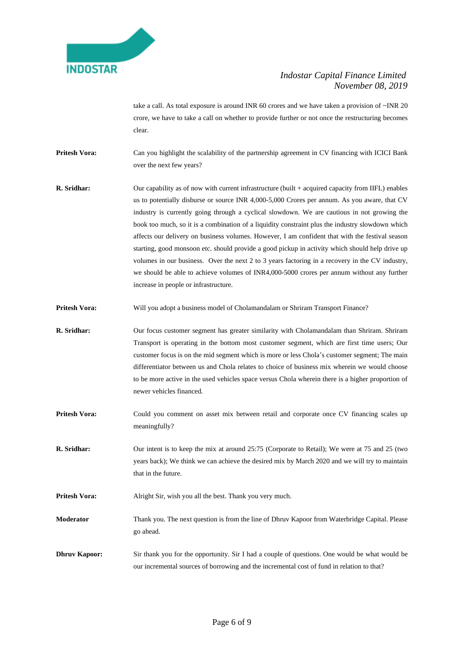

take a call. As total exposure is around INR 60 crores and we have taken a provision of ~INR 20 crore, we have to take a call on whether to provide further or not once the restructuring becomes clear.

**Pritesh Vora:** Can you highlight the scalability of the partnership agreement in CV financing with ICICI Bank over the next few years?

**R. Sridhar:** Our capability as of now with current infrastructure (built + acquired capacity from IIFL) enables us to potentially disburse or source INR 4,000-5,000 Crores per annum. As you aware, that CV industry is currently going through a cyclical slowdown. We are cautious in not growing the book too much, so it is a combination of a liquidity constraint plus the industry slowdown which affects our delivery on business volumes. However, I am confident that with the festival season starting, good monsoon etc. should provide a good pickup in activity which should help drive up volumes in our business. Over the next 2 to 3 years factoring in a recovery in the CV industry, we should be able to achieve volumes of INR4,000-5000 crores per annum without any further increase in people or infrastructure.

**Pritesh Vora:** Will you adopt a business model of Cholamandalam or Shriram Transport Finance?

- **R. Sridhar:** Our focus customer segment has greater similarity with Cholamandalam than Shriram. Shriram Transport is operating in the bottom most customer segment, which are first time users; Our customer focus is on the mid segment which is more or less Chola's customer segment; The main differentiator between us and Chola relates to choice of business mix wherein we would choose to be more active in the used vehicles space versus Chola wherein there is a higher proportion of newer vehicles financed.
- **Pritesh Vora:** Could you comment on asset mix between retail and corporate once CV financing scales up meaningfully?
- **R. Sridhar:** Our intent is to keep the mix at around 25:75 (Corporate to Retail); We were at 75 and 25 (two years back); We think we can achieve the desired mix by March 2020 and we will try to maintain that in the future.

**Pritesh Vora:** Alright Sir, wish you all the best. Thank you very much.

**Moderator** Thank you. The next question is from the line of Dhruv Kapoor from Waterbridge Capital. Please go ahead.

**Dhruv Kapoor:** Sir thank you for the opportunity. Sir I had a couple of questions. One would be what would be our incremental sources of borrowing and the incremental cost of fund in relation to that?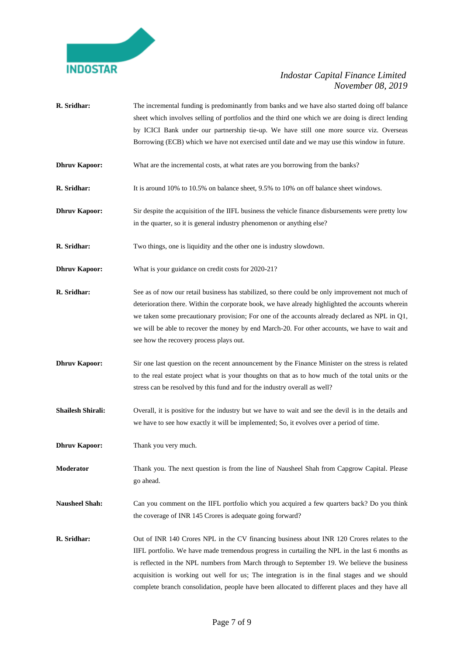

- **R. Sridhar:** The incremental funding is predominantly from banks and we have also started doing off balance sheet which involves selling of portfolios and the third one which we are doing is direct lending by ICICI Bank under our partnership tie-up. We have still one more source viz. Overseas Borrowing (ECB) which we have not exercised until date and we may use this window in future.
- **Dhruv Kapoor:** What are the incremental costs, at what rates are you borrowing from the banks?
- **R. Sridhar:** It is around 10% to 10.5% on balance sheet, 9.5% to 10% on off balance sheet windows.
- **Dhruv Kapoor:** Sir despite the acquisition of the IIFL business the vehicle finance disbursements were pretty low in the quarter, so it is general industry phenomenon or anything else?
- **R. Sridhar:** Two things, one is liquidity and the other one is industry slowdown.
- **Dhruv Kapoor:** What is your guidance on credit costs for 2020-21?
- **R. Sridhar:** See as of now our retail business has stabilized, so there could be only improvement not much of deterioration there. Within the corporate book, we have already highlighted the accounts wherein we taken some precautionary provision; For one of the accounts already declared as NPL in Q1, we will be able to recover the money by end March-20. For other accounts, we have to wait and see how the recovery process plays out.
- **Dhruv Kapoor:** Sir one last question on the recent announcement by the Finance Minister on the stress is related to the real estate project what is your thoughts on that as to how much of the total units or the stress can be resolved by this fund and for the industry overall as well?
- **Shailesh Shirali:** Overall, it is positive for the industry but we have to wait and see the devil is in the details and we have to see how exactly it will be implemented; So, it evolves over a period of time.
- **Dhruv Kapoor:** Thank you very much.
- **Moderator** Thank you. The next question is from the line of Nausheel Shah from Capgrow Capital. Please go ahead.
- **Nausheel Shah:** Can you comment on the IIFL portfolio which you acquired a few quarters back? Do you think the coverage of INR 145 Crores is adequate going forward?
- **R. Sridhar:** Out of INR 140 Crores NPL in the CV financing business about INR 120 Crores relates to the IIFL portfolio. We have made tremendous progress in curtailing the NPL in the last 6 months as is reflected in the NPL numbers from March through to September 19. We believe the business acquisition is working out well for us; The integration is in the final stages and we should complete branch consolidation, people have been allocated to different places and they have all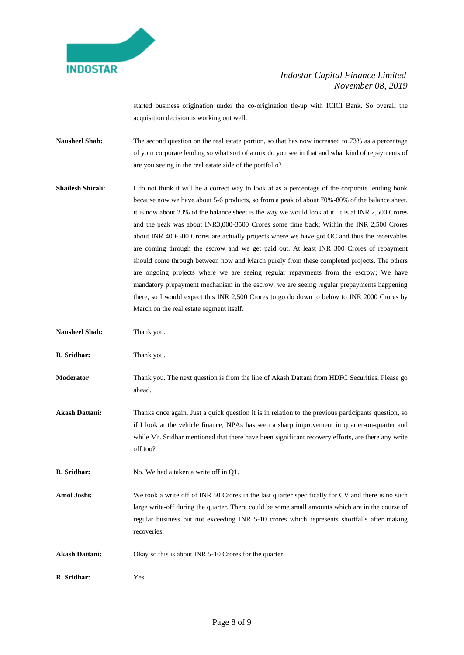

started business origination under the co-origination tie-up with ICICI Bank. So overall the acquisition decision is working out well.

- **Nausheel Shah:** The second question on the real estate portion, so that has now increased to 73% as a percentage of your corporate lending so what sort of a mix do you see in that and what kind of repayments of are you seeing in the real estate side of the portfolio?
- **Shailesh Shirali:** I do not think it will be a correct way to look at as a percentage of the corporate lending book because now we have about 5-6 products, so from a peak of about 70%-80% of the balance sheet, it is now about 23% of the balance sheet is the way we would look at it. It is at INR 2,500 Crores and the peak was about INR3,000-3500 Crores some time back; Within the INR 2,500 Crores about INR 400-500 Crores are actually projects where we have got OC and thus the receivables are coming through the escrow and we get paid out. At least INR 300 Crores of repayment should come through between now and March purely from these completed projects. The others are ongoing projects where we are seeing regular repayments from the escrow; We have mandatory prepayment mechanism in the escrow, we are seeing regular prepayments happening there, so I would expect this INR 2,500 Crores to go do down to below to INR 2000 Crores by March on the real estate segment itself.
- **Nausheel Shah:** Thank you.
- **R. Sridhar:** Thank you.
- **Moderator** Thank you. The next question is from the line of Akash Dattani from HDFC Securities. Please go ahead.
- **Akash Dattani:** Thanks once again. Just a quick question it is in relation to the previous participants question, so if I look at the vehicle finance, NPAs has seen a sharp improvement in quarter-on-quarter and while Mr. Sridhar mentioned that there have been significant recovery efforts, are there any write off too?
- **R. Sridhar:** No. We had a taken a write off in Q1.
- **Amol Joshi:** We took a write off of INR 50 Crores in the last quarter specifically for CV and there is no such large write-off during the quarter. There could be some small amounts which are in the course of regular business but not exceeding INR 5-10 crores which represents shortfalls after making recoveries.
- **Akash Dattani:** Okay so this is about INR 5-10 Crores for the quarter.
- **R. Sridhar:** Yes.